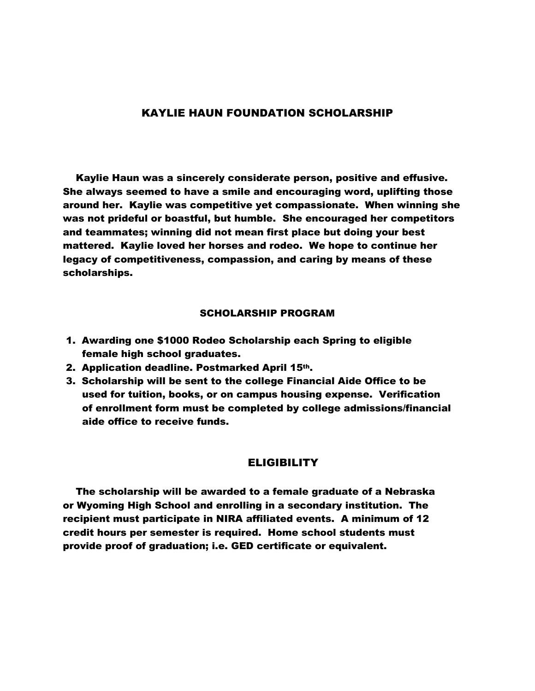## KAYLIE HAUN FOUNDATION SCHOLARSHIP

 Kaylie Haun was a sincerely considerate person, positive and effusive. She always seemed to have a smile and encouraging word, uplifting those around her. Kaylie was competitive yet compassionate. When winning she was not prideful or boastful, but humble. She encouraged her competitors and teammates; winning did not mean first place but doing your best mattered. Kaylie loved her horses and rodeo. We hope to continue her legacy of competitiveness, compassion, and caring by means of these scholarships.

## SCHOLARSHIP PROGRAM

- 1. Awarding one \$1000 Rodeo Scholarship each Spring to eligible female high school graduates.
- 2. Application deadline. Postmarked April 15th.
- 3. Scholarship will be sent to the college Financial Aide Office to be used for tuition, books, or on campus housing expense. Verification of enrollment form must be completed by college admissions/financial aide office to receive funds.

## **ELIGIBILITY**

 The scholarship will be awarded to a female graduate of a Nebraska or Wyoming High School and enrolling in a secondary institution. The recipient must participate in NIRA affiliated events. A minimum of 12 credit hours per semester is required. Home school students must provide proof of graduation; i.e. GED certificate or equivalent.